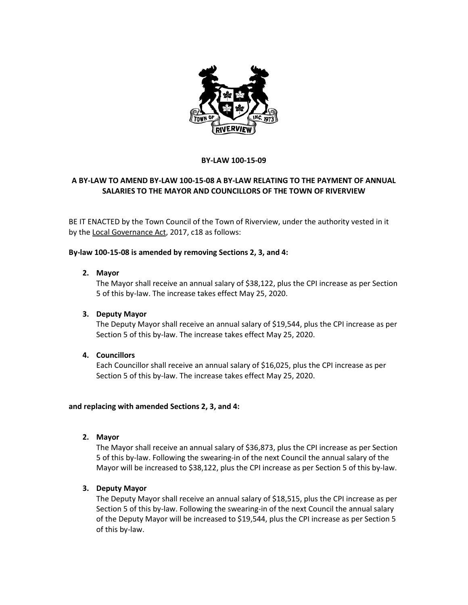

#### **BY-LAW 100-15-09**

# **A BY-LAW TO AMEND BY-LAW 100-15-08 A BY-LAW RELATING TO THE PAYMENT OF ANNUAL SALARIES TO THE MAYOR AND COUNCILLORS OF THE TOWN OF RIVERVIEW**

BE IT ENACTED by the Town Council of the Town of Riverview, under the authority vested in it by the Local Governance Act, 2017, c18 as follows:

#### **By-law 100-15-08 is amended by removing Sections 2, 3, and 4:**

#### **2. Mayor**

The Mayor shall receive an annual salary of \$38,122, plus the CPI increase as per Section 5 of this by-law. The increase takes effect May 25, 2020.

### **3. Deputy Mayor**

The Deputy Mayor shall receive an annual salary of \$19,544, plus the CPI increase as per Section 5 of this by-law. The increase takes effect May 25, 2020.

### **4. Councillors**

Each Councillor shall receive an annual salary of \$16,025, plus the CPI increase as per Section 5 of this by-law. The increase takes effect May 25, 2020.

#### **and replacing with amended Sections 2, 3, and 4:**

**2. Mayor**

The Mayor shall receive an annual salary of \$36,873, plus the CPI increase as per Section 5 of this by-law. Following the swearing-in of the next Council the annual salary of the Mayor will be increased to \$38,122, plus the CPI increase as per Section 5 of this by-law.

### **3. Deputy Mayor**

The Deputy Mayor shall receive an annual salary of \$18,515, plus the CPI increase as per Section 5 of this by-law. Following the swearing-in of the next Council the annual salary of the Deputy Mayor will be increased to \$19,544, plus the CPI increase as per Section 5 of this by-law.